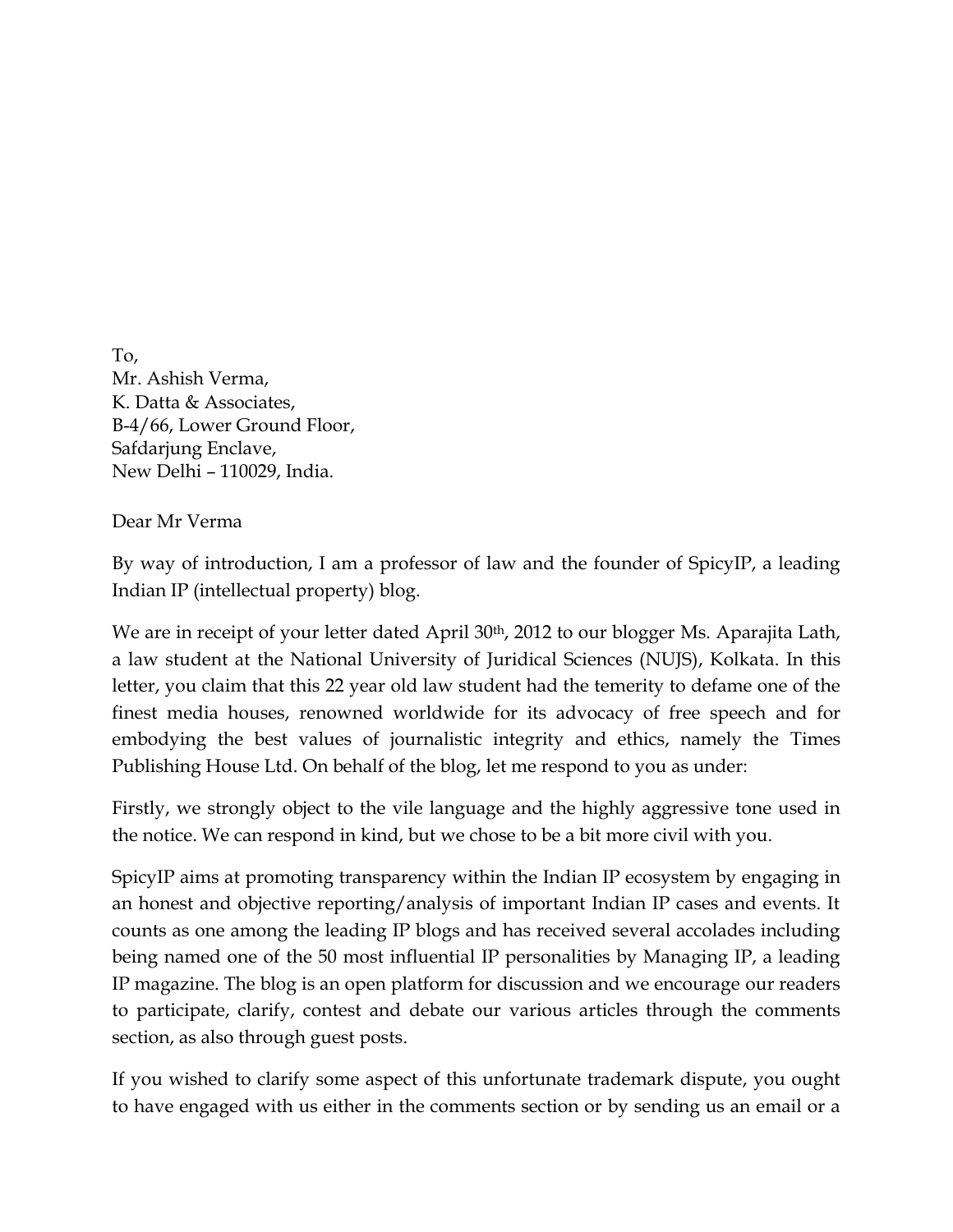To, Mr. Ashish Verma, K. Datta & Associates, B-4/66, Lower Ground Floor, Safdarjung Enclave, New Delhi – 110029, India.

Dear Mr Verma

By way of introduction, I am a professor of law and the founder of SpicyIP, a leading Indian IP (intellectual property) blog.

We are in receipt of your letter dated April 30<sup>th</sup>, 2012 to our blogger Ms. Aparajita Lath, a law student at the National University of Juridical Sciences (NUJS), Kolkata. In this letter, you claim that this 22 year old law student had the temerity to defame one of the finest media houses, renowned worldwide for its advocacy of free speech and for embodying the best values of journalistic integrity and ethics, namely the Times Publishing House Ltd. On behalf of the blog, let me respond to you as under:

Firstly, we strongly object to the vile language and the highly aggressive tone used in the notice. We can respond in kind, but we chose to be a bit more civil with you.

SpicyIP aims at promoting transparency within the Indian IP ecosystem by engaging in an honest and objective reporting/analysis of important Indian IP cases and events. It counts as one among the leading IP blogs and has received several accolades including being named one of the 50 most influential IP personalities by Managing IP, a leading IP magazine. The blog is an open platform for discussion and we encourage our readers to participate, clarify, contest and debate our various articles through the comments section, as also through guest posts.

If you wished to clarify some aspect of this unfortunate trademark dispute, you ought to have engaged with us either in the comments section or by sending us an email or a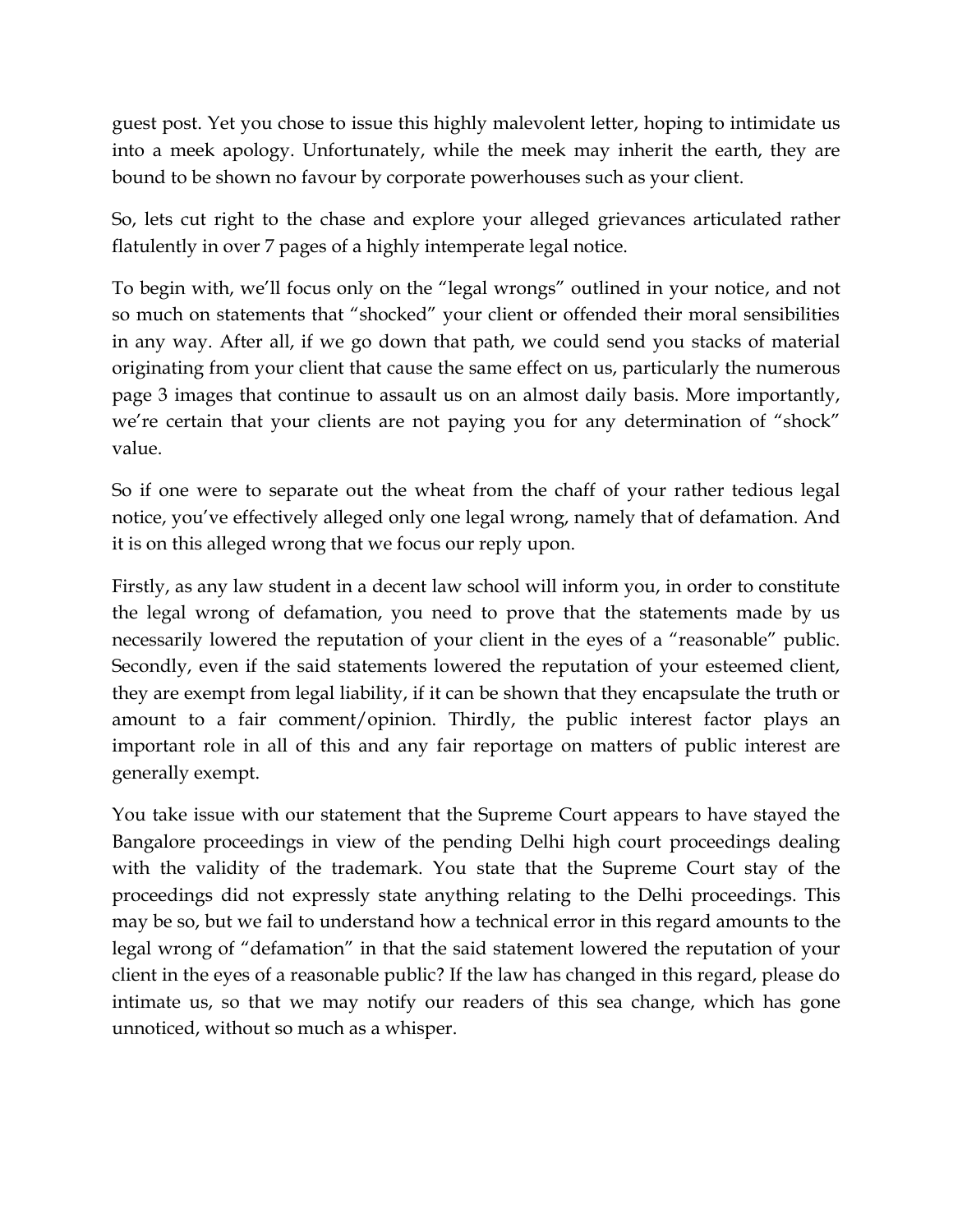guest post. Yet you chose to issue this highly malevolent letter, hoping to intimidate us into a meek apology. Unfortunately, while the meek may inherit the earth, they are bound to be shown no favour by corporate powerhouses such as your client.

So, lets cut right to the chase and explore your alleged grievances articulated rather flatulently in over 7 pages of a highly intemperate legal notice.

To begin with, we"ll focus only on the "legal wrongs" outlined in your notice, and not so much on statements that "shocked" your client or offended their moral sensibilities in any way. After all, if we go down that path, we could send you stacks of material originating from your client that cause the same effect on us, particularly the numerous page 3 images that continue to assault us on an almost daily basis. More importantly, we're certain that your clients are not paying you for any determination of "shock" value.

So if one were to separate out the wheat from the chaff of your rather tedious legal notice, you've effectively alleged only one legal wrong, namely that of defamation. And it is on this alleged wrong that we focus our reply upon.

Firstly, as any law student in a decent law school will inform you, in order to constitute the legal wrong of defamation, you need to prove that the statements made by us necessarily lowered the reputation of your client in the eyes of a "reasonable" public. Secondly, even if the said statements lowered the reputation of your esteemed client, they are exempt from legal liability, if it can be shown that they encapsulate the truth or amount to a fair comment/opinion. Thirdly, the public interest factor plays an important role in all of this and any fair reportage on matters of public interest are generally exempt.

You take issue with our statement that the Supreme Court appears to have stayed the Bangalore proceedings in view of the pending Delhi high court proceedings dealing with the validity of the trademark. You state that the Supreme Court stay of the proceedings did not expressly state anything relating to the Delhi proceedings. This may be so, but we fail to understand how a technical error in this regard amounts to the legal wrong of "defamation" in that the said statement lowered the reputation of your client in the eyes of a reasonable public? If the law has changed in this regard, please do intimate us, so that we may notify our readers of this sea change, which has gone unnoticed, without so much as a whisper.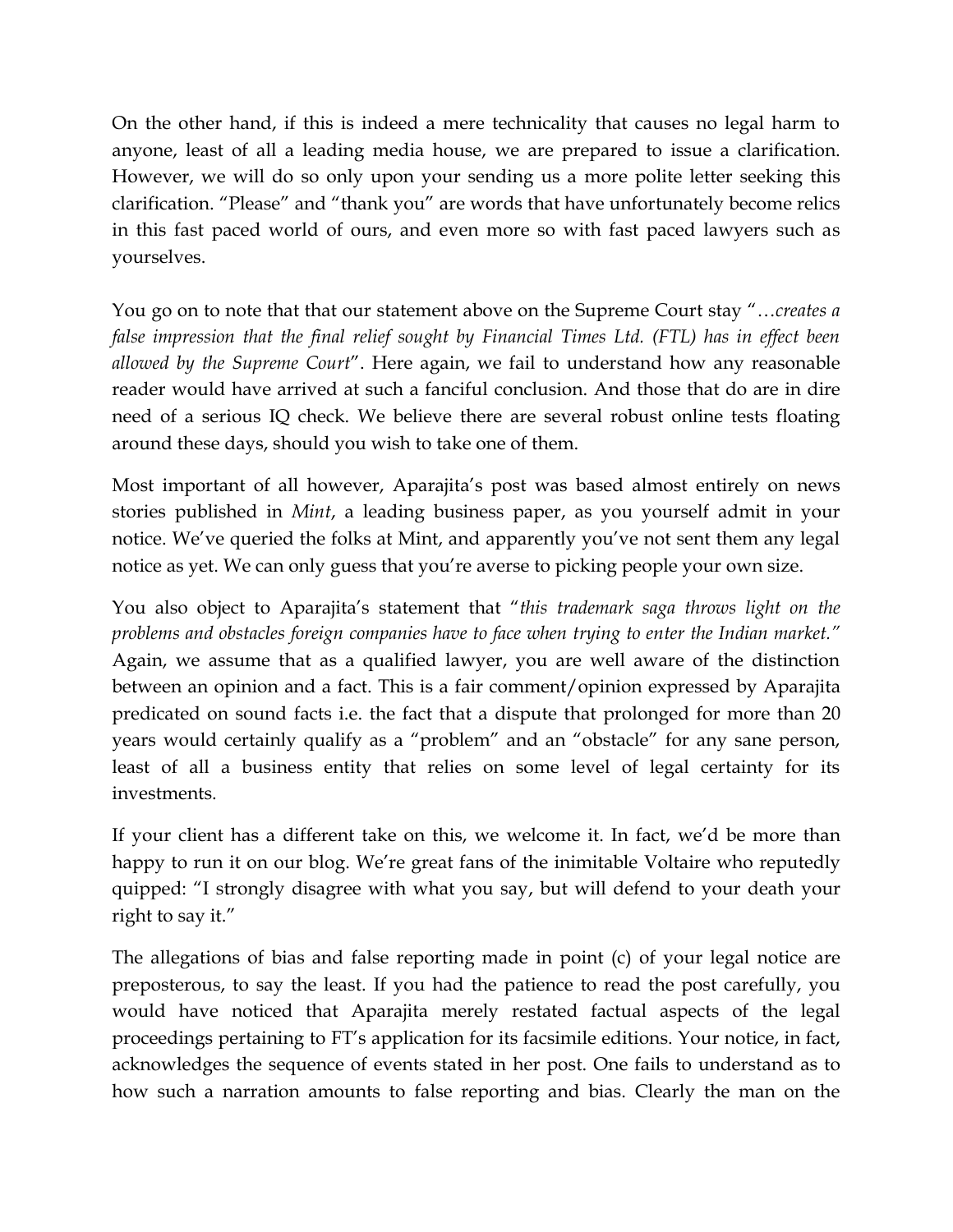On the other hand, if this is indeed a mere technicality that causes no legal harm to anyone, least of all a leading media house, we are prepared to issue a clarification. However, we will do so only upon your sending us a more polite letter seeking this clarification. "Please" and "thank you" are words that have unfortunately become relics in this fast paced world of ours, and even more so with fast paced lawyers such as yourselves.

You go on to note that that our statement above on the Supreme Court stay "…*creates a*  false impression that the final relief sought by Financial Times Ltd. (FTL) has in effect been *allowed by the Supreme Court*". Here again, we fail to understand how any reasonable reader would have arrived at such a fanciful conclusion. And those that do are in dire need of a serious IQ check. We believe there are several robust online tests floating around these days, should you wish to take one of them.

Most important of all however, Aparajita's post was based almost entirely on news stories published in *Mint*, a leading business paper, as you yourself admit in your notice. We've queried the folks at Mint, and apparently you've not sent them any legal notice as yet. We can only guess that you"re averse to picking people your own size.

You also object to Aparajita"s statement that "*this trademark saga throws light on the problems and obstacles foreign companies have to face when trying to enter the Indian market."*  Again, we assume that as a qualified lawyer, you are well aware of the distinction between an opinion and a fact. This is a fair comment/opinion expressed by Aparajita predicated on sound facts i.e. the fact that a dispute that prolonged for more than 20 years would certainly qualify as a "problem" and an "obstacle" for any sane person, least of all a business entity that relies on some level of legal certainty for its investments.

If your client has a different take on this, we welcome it. In fact, we'd be more than happy to run it on our blog. We"re great fans of the inimitable Voltaire who reputedly quipped: "I strongly disagree with what you say, but will defend to your death your right to say it."

The allegations of bias and false reporting made in point (c) of your legal notice are preposterous, to say the least. If you had the patience to read the post carefully, you would have noticed that Aparajita merely restated factual aspects of the legal proceedings pertaining to FT"s application for its facsimile editions. Your notice, in fact, acknowledges the sequence of events stated in her post. One fails to understand as to how such a narration amounts to false reporting and bias. Clearly the man on the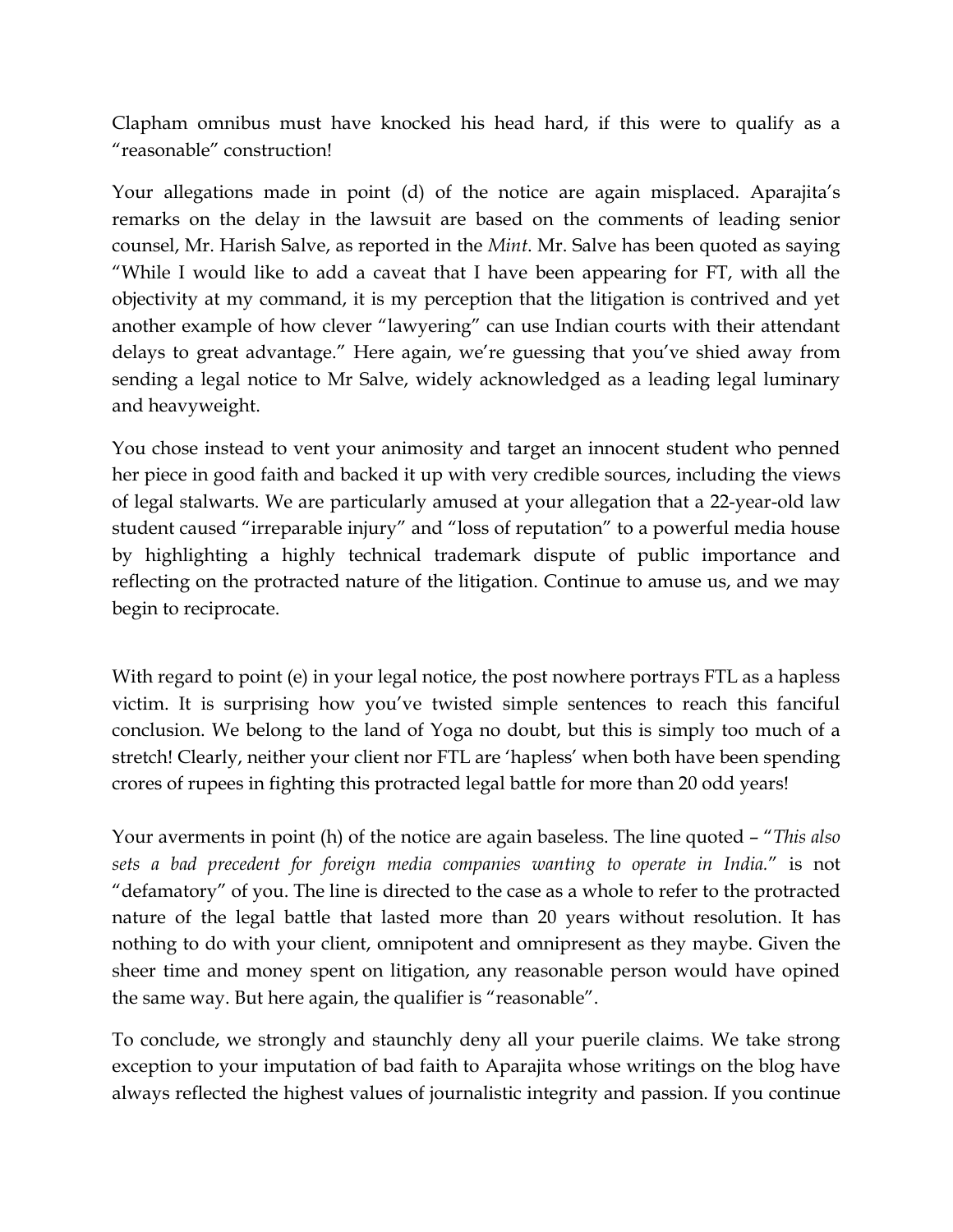Clapham omnibus must have knocked his head hard, if this were to qualify as a "reasonable" construction!

Your allegations made in point (d) of the notice are again misplaced. Aparajita's remarks on the delay in the lawsuit are based on the comments of leading senior counsel, Mr. Harish Salve, as reported in the *Mint*. Mr. Salve has been quoted as saying "While I would like to add a caveat that I have been appearing for FT, with all the objectivity at my command, it is my perception that the litigation is contrived and yet another example of how clever "lawyering" can use Indian courts with their attendant delays to great advantage." Here again, we"re guessing that you"ve shied away from sending a legal notice to Mr Salve, widely acknowledged as a leading legal luminary and heavyweight.

You chose instead to vent your animosity and target an innocent student who penned her piece in good faith and backed it up with very credible sources, including the views of legal stalwarts. We are particularly amused at your allegation that a 22-year-old law student caused "irreparable injury" and "loss of reputation" to a powerful media house by highlighting a highly technical trademark dispute of public importance and reflecting on the protracted nature of the litigation. Continue to amuse us, and we may begin to reciprocate.

With regard to point (e) in your legal notice, the post nowhere portrays FTL as a hapless victim. It is surprising how you"ve twisted simple sentences to reach this fanciful conclusion. We belong to the land of Yoga no doubt, but this is simply too much of a stretch! Clearly, neither your client nor FTL are 'hapless' when both have been spending crores of rupees in fighting this protracted legal battle for more than 20 odd years!

Your averments in point (h) of the notice are again baseless. The line quoted – "*This also sets a bad precedent for foreign media companies wanting to operate in India.*" is not "defamatory" of you. The line is directed to the case as a whole to refer to the protracted nature of the legal battle that lasted more than 20 years without resolution. It has nothing to do with your client, omnipotent and omnipresent as they maybe. Given the sheer time and money spent on litigation, any reasonable person would have opined the same way. But here again, the qualifier is "reasonable".

To conclude, we strongly and staunchly deny all your puerile claims. We take strong exception to your imputation of bad faith to Aparajita whose writings on the blog have always reflected the highest values of journalistic integrity and passion. If you continue